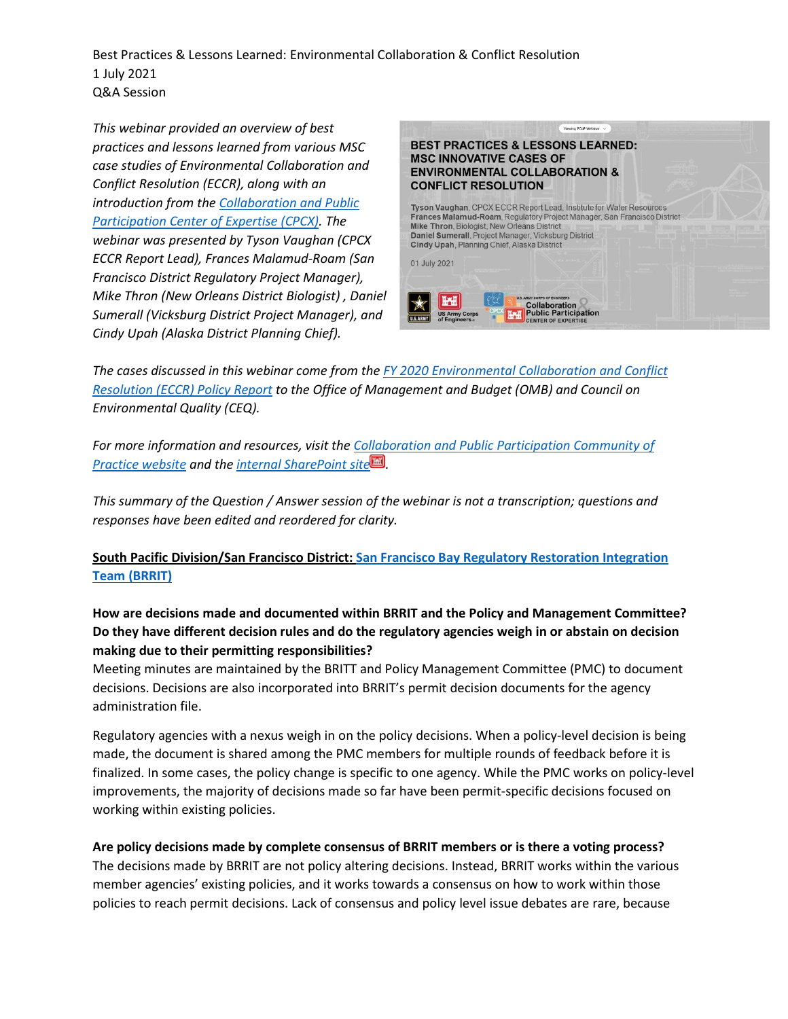Best Practices & Lessons Learned: Environmental Collaboration & Conflict Resolution 1 July 2021 Q&A Session

*This webinar provided an overview of best practices and lessons learned from various MSC case studies of Environmental Collaboration and Conflict Resolution (ECCR), along with an introduction from the [Collaboration and Public](https://www.iwr.usace.army.mil/About/Technical-Centers/CPCX-Collaboration-Public-Participation/)  [Participation Center of Expertise \(CPCX\).](https://www.iwr.usace.army.mil/About/Technical-Centers/CPCX-Collaboration-Public-Participation/) The webinar was presented by Tyson Vaughan (CPCX ECCR Report Lead), Frances Malamud-Roam (San Francisco District Regulatory Project Manager), Mike Thron (New Orleans District Biologist) , Daniel Sumerall (Vicksburg District Project Manager), and Cindy Upah (Alaska District Planning Chief).* 



*The cases discussed in this webinar come from the [FY 2020 Environmental Collaboration and Conflict](https://www.iwr.usace.army.mil/Portals/70/docs/CPCX/FY20%20USACE%20ECCR%20%20Report%20%20FINAL.pdf)  [Resolution \(ECCR\) Policy Report](https://www.iwr.usace.army.mil/Portals/70/docs/CPCX/FY20%20USACE%20ECCR%20%20Report%20%20FINAL.pdf) to the Office of Management and Budget (OMB) and Council on Environmental Quality (CEQ).* 

*For more information and resources, visit the [Collaboration and Public Participation Community of](https://www.iwr.usace.army.mil/Missions/Collaboration-and-Conflict-Resolution/CPCX/Activities-of-the-CPCX/CPP-CoP/)  [Practice website](https://www.iwr.usace.army.mil/Missions/Collaboration-and-Conflict-Resolution/CPCX/Activities-of-the-CPCX/CPP-CoP/) and the [internal SharePoint site](https://cops.usace.army.mil/sites/CPP/default.aspx) .* 

*This summary of the Question / Answer session of the webinar is not a transcription; questions and responses have been edited and reordered for clarity.*

**South Pacific Division/San Francisco District[: San Francisco Bay Regulatory Restoration Integration](https://www.sfbayrestore.org/san-francisco-bay-restoration-regulatory-integration-team-brrit#:%7E:text=The%20Bay%20Restoration%20Regulatory%20Integration,counties%20(excluding%20the%20Delta%20Primary)  [Team \(BRRIT\)](https://www.sfbayrestore.org/san-francisco-bay-restoration-regulatory-integration-team-brrit#:%7E:text=The%20Bay%20Restoration%20Regulatory%20Integration,counties%20(excluding%20the%20Delta%20Primary)**

# **How are decisions made and documented within BRRIT and the Policy and Management Committee? Do they have different decision rules and do the regulatory agencies weigh in or abstain on decision making due to their permitting responsibilities?**

Meeting minutes are maintained by the BRITT and Policy Management Committee (PMC) to document decisions. Decisions are also incorporated into BRRIT's permit decision documents for the agency administration file.

Regulatory agencies with a nexus weigh in on the policy decisions. When a policy-level decision is being made, the document is shared among the PMC members for multiple rounds of feedback before it is finalized. In some cases, the policy change is specific to one agency. While the PMC works on policy-level improvements, the majority of decisions made so far have been permit-specific decisions focused on working within existing policies.

### **Are policy decisions made by complete consensus of BRRIT members or is there a voting process?**

The decisions made by BRRIT are not policy altering decisions. Instead, BRRIT works within the various member agencies' existing policies, and it works towards a consensus on how to work within those policies to reach permit decisions. Lack of consensus and policy level issue debates are rare, because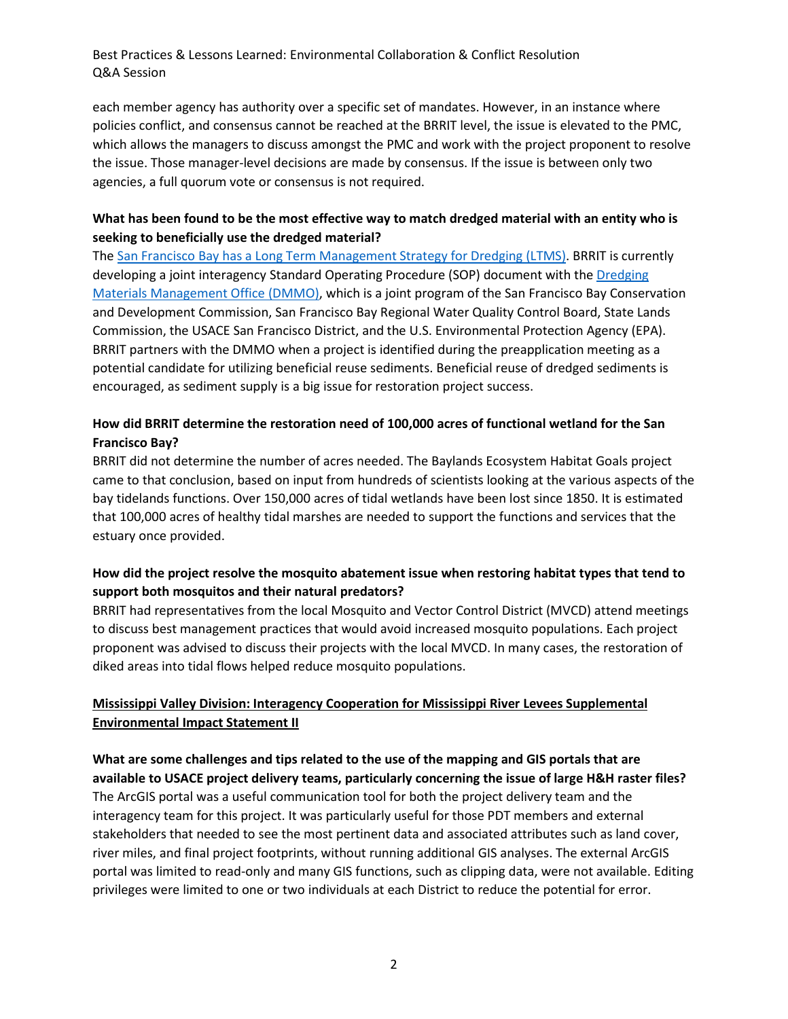Best Practices & Lessons Learned: Environmental Collaboration & Conflict Resolution Q&A Session

each member agency has authority over a specific set of mandates. However, in an instance where policies conflict, and consensus cannot be reached at the BRRIT level, the issue is elevated to the PMC, which allows the managers to discuss amongst the PMC and work with the project proponent to resolve the issue. Those manager-level decisions are made by consensus. If the issue is between only two agencies, a full quorum vote or consensus is not required.

### **What has been found to be the most effective way to match dredged material with an entity who is seeking to beneficially use the dredged material?**

The San Francisco Bay has a [Long Term Management Strategy for Dredging \(LTMS\).](https://www.epa.gov/ocean-dumping/san-francisco-bay-long-term-management-strategy-dredging#:%7E:text=The%20San%20Francisco%20Bay%20Long,new%20approach%20to%20dredging%20and) BRRIT is currently developing a joint interagency Standard Operating Procedure (SOP) document with the [Dredging](https://www.spn.usace.army.mil/Missions/Dredging-Work-Permits/Dredged-Material-Management-Office-DMMO/)  [Materials Management Office \(DMMO\),](https://www.spn.usace.army.mil/Missions/Dredging-Work-Permits/Dredged-Material-Management-Office-DMMO/) which is a joint program of the San Francisco Bay Conservation and Development Commission, San Francisco Bay Regional Water Quality Control Board, State Lands Commission, the USACE San Francisco District, and the U.S. Environmental Protection Agency (EPA). BRRIT partners with the DMMO when a project is identified during the preapplication meeting as a potential candidate for utilizing beneficial reuse sediments. Beneficial reuse of dredged sediments is encouraged, as sediment supply is a big issue for restoration project success.

# **How did BRRIT determine the restoration need of 100,000 acres of functional wetland for the San Francisco Bay?**

BRRIT did not determine the number of acres needed. The Baylands Ecosystem Habitat Goals project came to that conclusion, based on input from hundreds of scientists looking at the various aspects of the bay tidelands functions. Over 150,000 acres of tidal wetlands have been lost since 1850. It is estimated that 100,000 acres of healthy tidal marshes are needed to support the functions and services that the estuary once provided.

# **How did the project resolve the mosquito abatement issue when restoring habitat types that tend to support both mosquitos and their natural predators?**

BRRIT had representatives from the local Mosquito and Vector Control District (MVCD) attend meetings to discuss best management practices that would avoid increased mosquito populations. Each project proponent was advised to discuss their projects with the local MVCD. In many cases, the restoration of diked areas into tidal flows helped reduce mosquito populations.

# **Mississippi Valley Division: Interagency Cooperation for Mississippi River Levees Supplemental Environmental Impact Statement II**

**What are some challenges and tips related to the use of the mapping and GIS portals that are available to USACE project delivery teams, particularly concerning the issue of large H&H raster files?** The ArcGIS portal was a useful communication tool for both the project delivery team and the interagency team for this project. It was particularly useful for those PDT members and external stakeholders that needed to see the most pertinent data and associated attributes such as land cover, river miles, and final project footprints, without running additional GIS analyses. The external ArcGIS portal was limited to read-only and many GIS functions, such as clipping data, were not available. Editing privileges were limited to one or two individuals at each District to reduce the potential for error.